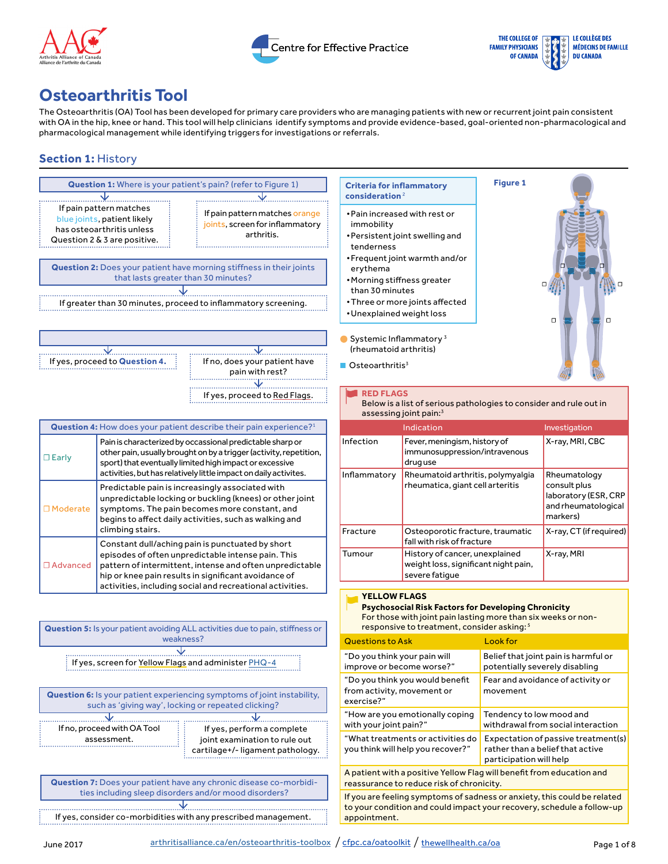





# **Osteoarthritis Tool**

The Osteoarthritis (OA) Tool has been developed for primary care providers who are managing patients with new or recurrent joint pain consistent with OA in the hip, knee or hand. This tool will help clinicians identify symptoms and provide evidence-based, goal-oriented non-pharmacological and pharmacological management while identifying triggers for investigations or referrals.

# **Section 1:** History

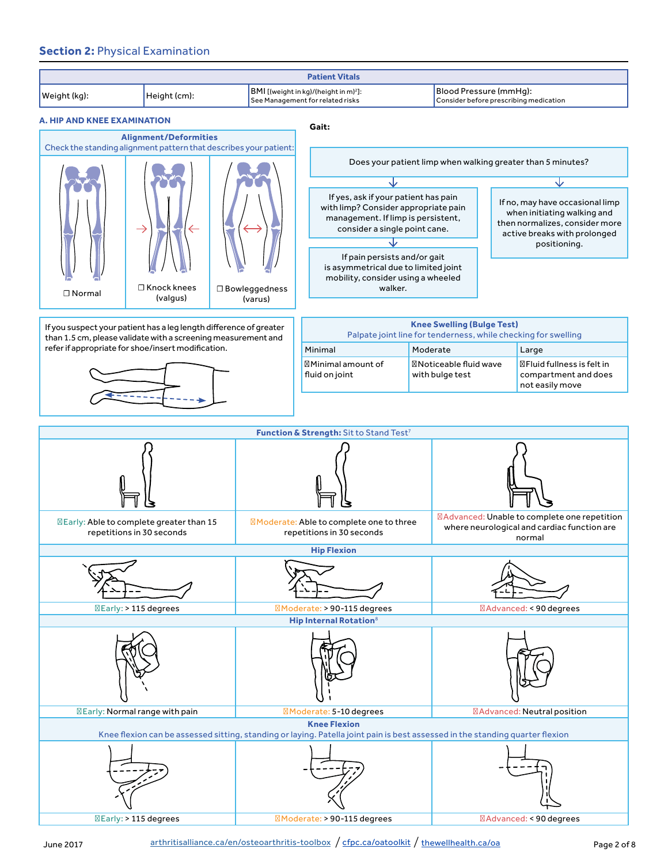# **Section 2:** Physical Examination

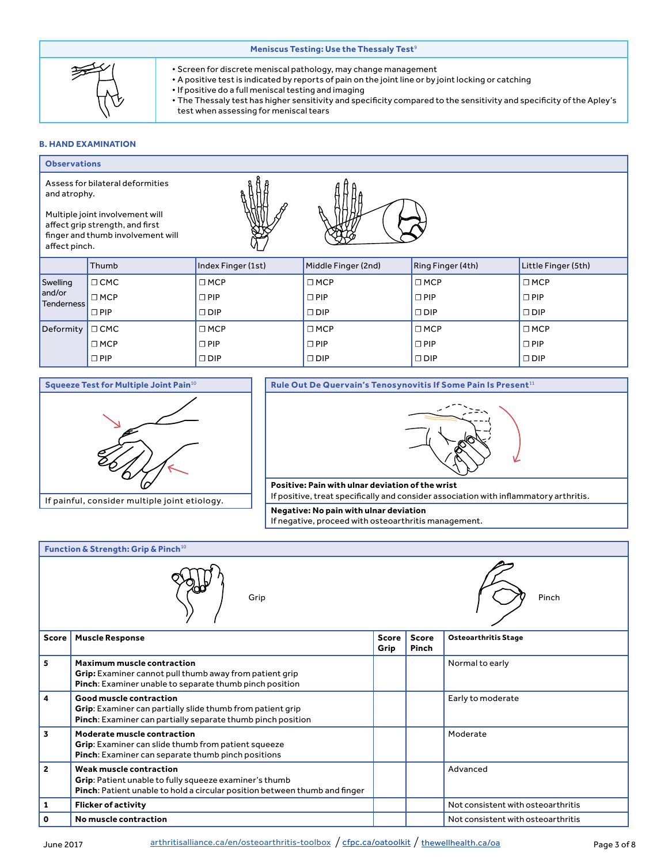## **Meniscus Testing: Use the Thessaly Test**<sup>9</sup>



- Screen for discrete meniscal pathology, may change management
- A positive test is indicated by reports of pain on the joint line or by joint locking or catching
- If positive do a full meniscal testing and imaging
- The Thessaly test has higher sensitivity and specificity compared to the sensitivity and specificity of the Apley's test when assessing for meniscal tears

## **B. HAND EXAMINATION**

| <b>Observations</b>           |                                                                                                                                             |                    |                     |                   |                     |
|-------------------------------|---------------------------------------------------------------------------------------------------------------------------------------------|--------------------|---------------------|-------------------|---------------------|
| and atrophy.<br>affect pinch. | Assess for bilateral deformities<br>Multiple joint involvement will<br>affect grip strength, and first<br>finger and thumb involvement will |                    |                     |                   |                     |
|                               | Thumb                                                                                                                                       | Index Finger (1st) | Middle Finger (2nd) | Ring Finger (4th) | Little Finger (5th) |
| Swelling                      | $\Box$ CMC                                                                                                                                  | $\Box$ MCP         | $\Box$ MCP          | $\Box$ MCP        | $\Box$ MCP          |
| and/or<br><b>Tenderness</b>   | $\Box$ MCP                                                                                                                                  | $\Box$ PIP         | $\Box$ PIP          | $\Box$ PIP        | $\Box$ PIP          |
|                               | $\square$ PIP                                                                                                                               | $\Box$ DIP         | $\Box$ DIP          | $\Box$ DIP        | $\Box$ DIP          |
| Deformity                     | $\Box$ CMC                                                                                                                                  | $\Box$ MCP         | $\Box$ MCP          | $\Box$ MCP        | $\Box$ MCP          |
|                               | $\Box$ MCP                                                                                                                                  | $\Box$ PIP         | $\Box$ PIP          | $\Box$ PIP        | $\Box$ PIP          |
|                               | $\square$ PIP                                                                                                                               | $\Box$ DIP         | $\Box$ DIP          | $\Box$ DIP        | $\Box$ DIP          |



**Rule Out De Quervain's Tenosynovitis If Some Pain Is Present**<sup>11</sup>



**Positive: Pain with ulnar deviation of the wrist**  If positive, treat specifically and consider association with inflammatory arthritis. **Negative: No pain with ulnar deviation** 

If negative, proceed with osteoarthritis management.

| Function & Strength: Grip & Pinch <sup>10</sup> |                                                                                                                                                                 |                      |                              |                                    |
|-------------------------------------------------|-----------------------------------------------------------------------------------------------------------------------------------------------------------------|----------------------|------------------------------|------------------------------------|
| Pinch<br>Grip                                   |                                                                                                                                                                 |                      |                              |                                    |
| <b>Score</b>                                    | <b>Muscle Response</b>                                                                                                                                          | <b>Score</b><br>Grip | <b>Score</b><br><b>Pinch</b> | <b>Osteoarthritis Stage</b>        |
| 5                                               | <b>Maximum muscle contraction</b><br>Grip: Examiner cannot pull thumb away from patient grip<br>Pinch: Examiner unable to separate thumb pinch position         |                      |                              | Normal to early                    |
| 4                                               | Good muscle contraction<br>Grip: Examiner can partially slide thumb from patient grip<br>Pinch: Examiner can partially separate thumb pinch position            |                      |                              | Early to moderate                  |
| 3                                               | Moderate muscle contraction<br>Grip: Examiner can slide thumb from patient squeeze<br>Pinch: Examiner can separate thumb pinch positions                        |                      |                              | Moderate                           |
| $\mathbf{2}$                                    | Weak muscle contraction<br>Grip: Patient unable to fully squeeze examiner's thumb<br>Pinch: Patient unable to hold a circular position between thumb and finger |                      |                              | Advanced                           |
| 1                                               | <b>Flicker of activity</b>                                                                                                                                      |                      |                              | Not consistent with osteoarthritis |
| 0                                               | No muscle contraction                                                                                                                                           |                      |                              | Not consistent with osteoarthritis |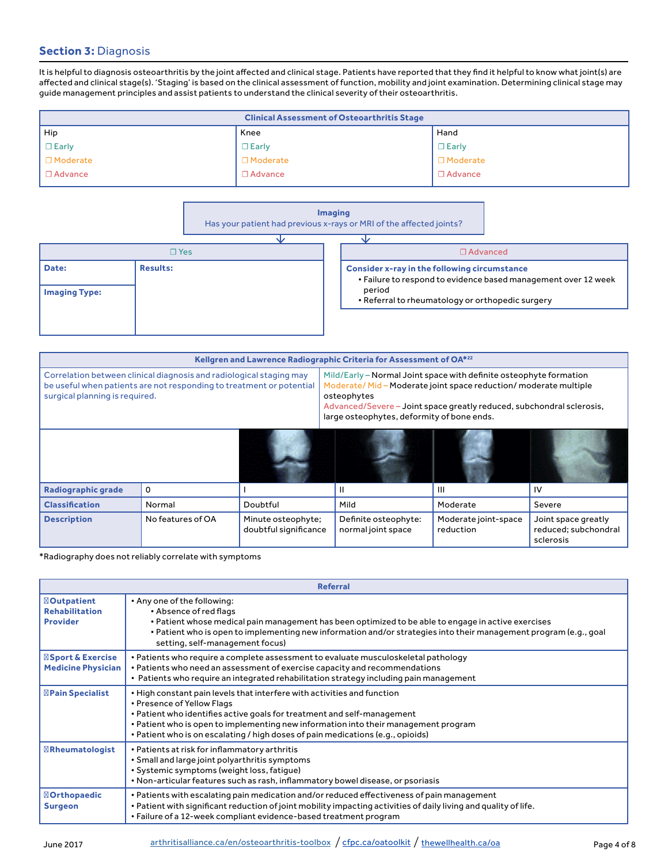# **Section 3:** Diagnosis

It is helpful to diagnosis osteoarthritis by the joint affected and clinical stage. Patients have reported that they find it helpful to know what joint(s) are affected and clinical stage(s). 'Staging' is based on the clinical assessment of function, mobility and joint examination. Determining clinical stage may guide management principles and assist patients to understand the clinical severity of their osteoarthritis.

| <b>Clinical Assessment of Osteoarthritis Stage</b> |                |                |  |
|----------------------------------------------------|----------------|----------------|--|
| Hip                                                | Knee           | Hand           |  |
| $\Box$ Early                                       | $\Box$ Early   | $\Box$ Early   |  |
| □ Moderate                                         | □ Moderate     | □ Moderate     |  |
| $\Box$ Advance                                     | $\Box$ Advance | $\Box$ Advance |  |

|                               |                 | <b>Imaging</b><br>Has your patient had previous x-rays or MRI of the affected joints? |                                                                                                                    |  |  |
|-------------------------------|-----------------|---------------------------------------------------------------------------------------|--------------------------------------------------------------------------------------------------------------------|--|--|
|                               |                 |                                                                                       |                                                                                                                    |  |  |
| $\Box$ Yes                    |                 |                                                                                       | $\Box$ Advanced                                                                                                    |  |  |
| Date:<br><b>Imaging Type:</b> | <b>Results:</b> | Consider x-ray in the following circumstance<br>period                                | • Failure to respond to evidence based management over 12 week<br>• Referral to rheumatology or orthopedic surgery |  |  |
|                               |                 |                                                                                       |                                                                                                                    |  |  |

| Kellgren and Lawrence Radiographic Criteria for Assessment of OA*22                                                                                                           |                   |                                             |                                                                                                                                                                                                                                                                           |                                   |                                                          |
|-------------------------------------------------------------------------------------------------------------------------------------------------------------------------------|-------------------|---------------------------------------------|---------------------------------------------------------------------------------------------------------------------------------------------------------------------------------------------------------------------------------------------------------------------------|-----------------------------------|----------------------------------------------------------|
| Correlation between clinical diagnosis and radiological staging may<br>be useful when patients are not responding to treatment or potential<br>surgical planning is required. |                   |                                             | Mild/Early - Normal Joint space with definite osteophyte formation<br>Moderate/Mid-Moderate joint space reduction/moderate multiple<br>osteophytes<br>Advanced/Severe – Joint space greatly reduced, subchondral sclerosis,<br>large osteophytes, deformity of bone ends. |                                   |                                                          |
|                                                                                                                                                                               |                   |                                             |                                                                                                                                                                                                                                                                           |                                   |                                                          |
| Radiographic grade                                                                                                                                                            |                   |                                             |                                                                                                                                                                                                                                                                           | Ш                                 | IV                                                       |
| <b>Classification</b>                                                                                                                                                         | Normal            | Doubtful                                    | Mild                                                                                                                                                                                                                                                                      | Moderate                          | Severe                                                   |
| <b>Description</b>                                                                                                                                                            | No features of OA | Minute osteophyte;<br>doubtful significance | Definite osteophyte:<br>normal joint space                                                                                                                                                                                                                                | Moderate joint-space<br>reduction | Joint space greatly<br>reduced; subchondral<br>sclerosis |

\*Radiography does not reliably correlate with symptoms

| <b>Referral</b>                                               |                                                                                                                                                                                                                                                                                                                                                            |  |  |
|---------------------------------------------------------------|------------------------------------------------------------------------------------------------------------------------------------------------------------------------------------------------------------------------------------------------------------------------------------------------------------------------------------------------------------|--|--|
| <b>Outpatient</b><br><b>Rehabilitation</b><br><b>Provider</b> | . Any one of the following:<br>• Absence of red flags<br>• Patient whose medical pain management has been optimized to be able to engage in active exercises<br>• Patient who is open to implementing new information and/or strategies into their management program (e.g., goal<br>setting, self-management focus)                                       |  |  |
| <b>Sport &amp; Exercise</b><br><b>Medicine Physician</b>      | • Patients who require a complete assessment to evaluate musculoskeletal pathology<br>• Patients who need an assessment of exercise capacity and recommendations<br>• Patients who require an integrated rehabilitation strategy including pain management                                                                                                 |  |  |
| <b>Pain Specialist</b>                                        | . High constant pain levels that interfere with activities and function<br>• Presence of Yellow Flags<br>• Patient who identifies active goals for treatment and self-management<br>• Patient who is open to implementing new information into their management program<br>• Patient who is on escalating / high doses of pain medications (e.g., opioids) |  |  |
| Rheumatologist                                                | • Patients at risk for inflammatory arthritis<br>• Small and large joint polyarthritis symptoms<br>• Systemic symptoms (weight loss, fatique)<br>. Non-articular features such as rash, inflammatory bowel disease, or psoriasis                                                                                                                           |  |  |
| <b>Orthopaedic</b><br><b>Surgeon</b>                          | • Patients with escalating pain medication and/or reduced effectiveness of pain management<br>. Patient with significant reduction of joint mobility impacting activities of daily living and quality of life.<br>• Failure of a 12-week compliant evidence-based treatment program                                                                        |  |  |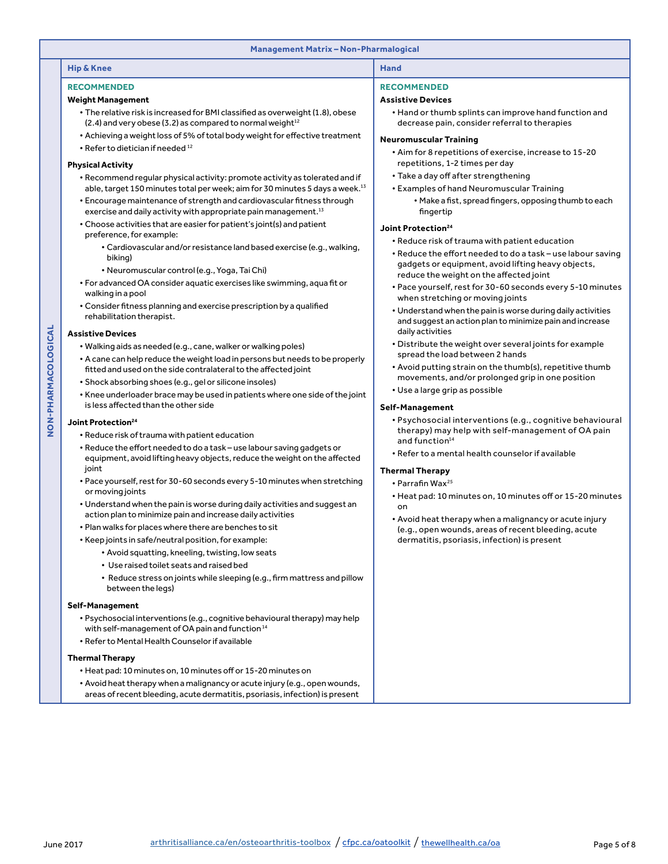## **Management Matrix – Non-Pharmalogical**

### **Hip & Knee Hand All According to the Hand All According to the Hand All According to the Hand All According to the Hand All According to the Hand According to the Hand According to the Hand According to the Hand According**

- The relative risk is increased for BMI classified as overweight (1.8), obese  $\qquad \qquad \bullet$  Hand or thumb splints can improve hand function and  $(2.4)$  and very obese (3.2) as compared to normal weight<sup>12</sup> decrease pain, consider referral to therapies
- Achieving a weight loss of 5% of total body weight for effective treatment **Neuromuscular Training**  Refer to dietician if needed 12
- 

- Recommend regular physical activity: promote activity as tolerated and if  $^{\bullet}$  Take a day off after strengthening<br>able, target 150 minutes total per week; aim for 30 minutes 5 days a week. $^{\bullet}$  Pexamples of hand Neur able, target 150 minutes total per week; aim for 30 minutes 5 days a week.<sup>13</sup>
- exercise and daily activity with appropriate pain management.<sup>13</sup> fingertip
- Choose activities that are easier for patient's joint(s) and patient Choose activities that are easier for patient sjoint(s) and patient<br>
preference, for example:<br> **Joint Protection<sup>24</sup>**<br> **Reduce risk of trauma with patient education**<br> **Reduce risk of trauma with patient education** 
	- Cardiovascular and/or resistance land based exercise (e.g., walking, biking) • Reduce the effort needed to do a task – use labour saving
	-
- For advanced OA consider aquatic exercises like swimming, aqua fit or
- Consider fitness planning and exercise prescription by a qualified rehabilitation therapist. • Understand when the pain is worse during daily activities

#### **Assistive Devices**

- Walking aids as needed (e.g., cane, walker or walking poles)
- A cane can help reduce the weight load in persons but needs to be properly fitted and used on the side contralateral to the affected joint
- Shock absorbing shoes (e.g., gel or silicone insoles)
- Knee underloader brace may be used in patients where one side of the joint is less affected than the other side

#### **Joint Protection24**

- Reduce risk of trauma with patient education
- Reduce the effort needed to do a task use labour saving gadgets or equipment, avoid lifting heavy objects, reduce the weight on the affected • Refer to a mental health counselor if available joint **Thermal Therapy**
- Pace yourself, rest for 30-60 seconds every 5-10 minutes when stretching Parrafin Wax<sup>25</sup><br>• Part pad: 10 m
- or moving joints<br>• Understand when the pain is worse during daily activities and suggest an<br>• Conderstand when the pain is worse during daily activities<br>• Plan walks for places where there are benches to sit<br>• Plan walks f
- 
- Keep joints in safe/neutral position, for example: dermatitis, psoriasis, infection) is present
	- Avoid squatting, kneeling, twisting, low seats
		- Use raised toilet seats and raised bed
	- Reduce stress on joints while sleeping (e.g., firm mattress and pillow between the legs)

#### **Self-Management**

- Psychosocial interventions (e.g., cognitive behavioural therapy) may help with self-management of OA pain and function 14
- Refer to Mental Health Counselor if available

#### **Thermal Therapy**

- Heat pad: 10 minutes on, 10 minutes off or 15-20 minutes on
- Avoid heat therapy when a malignancy or acute injury (e.g., open wounds, areas of recent bleeding, acute dermatitis, psoriasis, infection) is present

## **RECOMMENDED RECOMMENDED**

## **Weight Management Assistive Devices Assistive Devices Assistive Devices**

- Aim for 8 repetitions of exercise, increase to 15-20 **Physical Activity repetitions, 1-2 times per day** 
	-
	-
	- Encourage maintenance of strength and cardiovascular fitness through Make a fist, spread fingers, opposing thumb to each

- 
- Neuromuscular control (e.g., Yoga, Tai Chi) gadgets or equipment, avoid lifting heavy objects,
- For advanced OA consider aquatic exercises like swimming, aqualition<br>
when stretching or moving joints<br>
when stretching or moving joints
	- and suggest an action plan to minimize pain and increase daily activities
	- Distribute the weight over several joints for example spread the load between 2 hands
	- Avoid putting strain on the thumb(s), repetitive thumb movements, and/or prolonged grip in one position
	- Use a large grip as possible

#### **Self-Management**

- Psychosocial interventions (e.g., cognitive behavioural therapy) may help with self-management of OA pain and function<sup>14</sup>
- 

- 
- 
- 

# **NON-PHARMACOLOGICAL** NON-PHARMACOLOGICAL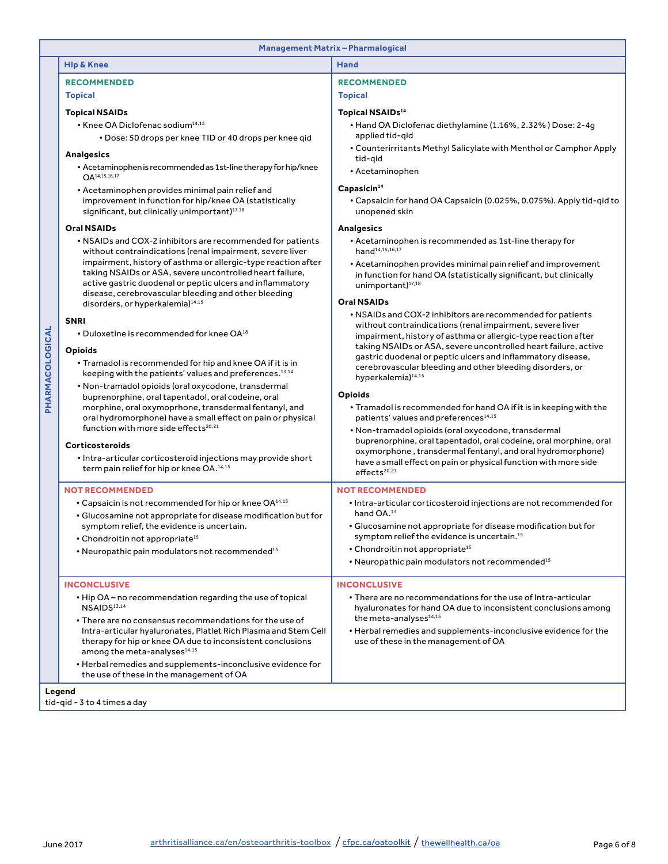|                 | <b>Management Matrix - Pharmalogical</b>                                                                                                                                                                                             |                                                                                                                                                                     |  |  |  |  |
|-----------------|--------------------------------------------------------------------------------------------------------------------------------------------------------------------------------------------------------------------------------------|---------------------------------------------------------------------------------------------------------------------------------------------------------------------|--|--|--|--|
|                 | <b>Hip &amp; Knee</b>                                                                                                                                                                                                                | <b>Hand</b>                                                                                                                                                         |  |  |  |  |
|                 | <b>RECOMMENDED</b>                                                                                                                                                                                                                   | <b>RECOMMENDED</b>                                                                                                                                                  |  |  |  |  |
|                 | <b>Topical</b>                                                                                                                                                                                                                       | <b>Topical</b>                                                                                                                                                      |  |  |  |  |
|                 | <b>Topical NSAIDs</b>                                                                                                                                                                                                                | Topical NSAIDs <sup>14</sup>                                                                                                                                        |  |  |  |  |
|                 | • Knee OA Diclofenac sodium <sup>14,15</sup>                                                                                                                                                                                         | • Hand OA Diclofenac diethylamine (1.16%, 2.32%) Dose: 2-4g                                                                                                         |  |  |  |  |
|                 | • Dose: 50 drops per knee TID or 40 drops per knee qid                                                                                                                                                                               | applied tid-qid<br>• Counterirritants Methyl Salicylate with Menthol or Camphor Apply                                                                               |  |  |  |  |
|                 | <b>Analgesics</b>                                                                                                                                                                                                                    | tid-gid                                                                                                                                                             |  |  |  |  |
|                 | • Acetaminophen is recommended as 1st-line therapy for hip/knee<br>OA <sup>14,15,16,17</sup>                                                                                                                                         | • Acetaminophen                                                                                                                                                     |  |  |  |  |
|                 | • Acetaminophen provides minimal pain relief and                                                                                                                                                                                     | Capasicin <sup>14</sup>                                                                                                                                             |  |  |  |  |
|                 | improvement in function for hip/knee OA (statistically<br>significant, but clinically unimportant) <sup>17,18</sup>                                                                                                                  | • Capsaicin for hand OA Capsaicin (0.025%, 0.075%). Apply tid-qid to<br>unopened skin                                                                               |  |  |  |  |
|                 | <b>Oral NSAIDs</b>                                                                                                                                                                                                                   | <b>Analgesics</b>                                                                                                                                                   |  |  |  |  |
|                 | . NSAIDs and COX-2 inhibitors are recommended for patients<br>without contraindications (renal impairment, severe liver                                                                                                              | • Acetaminophen is recommended as 1st-line therapy for<br>hand <sup>14,15,16,17</sup>                                                                               |  |  |  |  |
|                 | impairment, history of asthma or allergic-type reaction after<br>taking NSAIDs or ASA, severe uncontrolled heart failure,<br>active gastric duodenal or peptic ulcers and inflammatory                                               | • Acetaminophen provides minimal pain relief and improvement<br>in function for hand OA (statistically significant, but clinically<br>unimportant) <sup>17,18</sup> |  |  |  |  |
|                 | disease, cerebrovascular bleeding and other bleeding<br>disorders, or hyperkalemia) <sup>14,15</sup>                                                                                                                                 | <b>Oral NSAIDs</b>                                                                                                                                                  |  |  |  |  |
|                 | <b>SNRI</b>                                                                                                                                                                                                                          | . NSAIDs and COX-2 inhibitors are recommended for patients                                                                                                          |  |  |  |  |
|                 | $\bullet$ Duloxetine is recommended for knee OA $^{18}$                                                                                                                                                                              | without contraindications (renal impairment, severe liver<br>impairment, history of asthma or allergic-type reaction after                                          |  |  |  |  |
|                 | <b>Opioids</b>                                                                                                                                                                                                                       | taking NSAIDs or ASA, severe uncontrolled heart failure, active                                                                                                     |  |  |  |  |
| PHARMACOLOGICAL | • Tramadol is recommended for hip and knee OA if it is in<br>keeping with the patients' values and preferences. <sup>13,14</sup>                                                                                                     | gastric duodenal or peptic ulcers and inflammatory disease,<br>cerebrovascular bleeding and other bleeding disorders, or                                            |  |  |  |  |
|                 | · Non-tramadol opioids (oral oxycodone, transdermal                                                                                                                                                                                  | hyperkalemia) <sup>14,15</sup>                                                                                                                                      |  |  |  |  |
|                 | buprenorphine, oral tapentadol, oral codeine, oral<br>morphine, oral oxymoprhone, transdermal fentanyl, and                                                                                                                          | <b>Opioids</b>                                                                                                                                                      |  |  |  |  |
|                 | oral hydromorphone) have a small effect on pain or physical<br>function with more side effects <sup>20,21</sup>                                                                                                                      | • Tramadol is recommended for hand OA if it is in keeping with the<br>patients' values and preferences <sup>14,15</sup>                                             |  |  |  |  |
|                 | <b>Corticosteroids</b>                                                                                                                                                                                                               | · Non-tramadol opioids (oral oxycodone, transdermal<br>buprenorphine, oral tapentadol, oral codeine, oral morphine, oral                                            |  |  |  |  |
|                 | • Intra-articular corticosteroid injections may provide short<br>term pain relief for hip or knee OA. <sup>14,15</sup>                                                                                                               | oxymorphone, transdermal fentanyl, and oral hydromorphone)<br>have a small effect on pain or physical function with more side<br>effects <sup>20,21</sup>           |  |  |  |  |
|                 | <b>NOT RECOMMENDED</b>                                                                                                                                                                                                               | <b>NOT RECOMMENDED</b>                                                                                                                                              |  |  |  |  |
|                 | • Capsaicin is not recommended for hip or knee OA <sup>14,15</sup><br>• Glucosamine not appropriate for disease modification but for                                                                                                 | · Intra-articular corticosteroid injections are not recommended for<br>hand OA. <sup>13</sup>                                                                       |  |  |  |  |
|                 | symptom relief, the evidence is uncertain.<br>• Chondroitin not appropriate <sup>15</sup>                                                                                                                                            | • Glucosamine not appropriate for disease modification but for<br>symptom relief the evidence is uncertain. <sup>15</sup>                                           |  |  |  |  |
|                 | • Neuropathic pain modulators not recommended <sup>15</sup>                                                                                                                                                                          | • Chondroitin not appropriate <sup>15</sup>                                                                                                                         |  |  |  |  |
|                 |                                                                                                                                                                                                                                      | • Neuropathic pain modulators not recommended <sup>15</sup>                                                                                                         |  |  |  |  |
|                 | <b>INCONCLUSIVE</b>                                                                                                                                                                                                                  | <b>INCONCLUSIVE</b>                                                                                                                                                 |  |  |  |  |
|                 | • Hip OA – no recommendation regarding the use of topical<br>NSAIDS <sup>13,14</sup>                                                                                                                                                 | • There are no recommendations for the use of Intra-articular<br>hyaluronates for hand OA due to inconsistent conclusions among                                     |  |  |  |  |
|                 | • There are no consensus recommendations for the use of<br>Intra-articular hyaluronates, Platlet Rich Plasma and Stem Cell<br>therapy for hip or knee OA due to inconsistent conclusions<br>among the meta-analyses <sup>14,15</sup> | the meta-analyses <sup>14,15</sup><br>. Herbal remedies and supplements-inconclusive evidence for the<br>use of these in the management of OA                       |  |  |  |  |
|                 | • Herbal remedies and supplements-inconclusive evidence for<br>the use of these in the management of OA                                                                                                                              |                                                                                                                                                                     |  |  |  |  |
|                 | Legend<br>tid-qid - 3 to 4 times a day                                                                                                                                                                                               |                                                                                                                                                                     |  |  |  |  |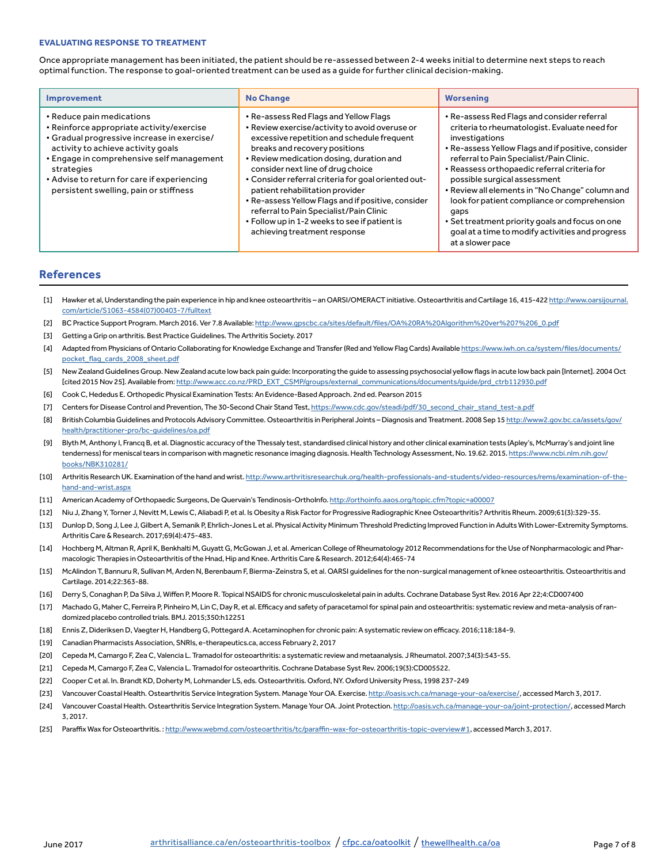## **EVALUATING RESPONSE TO TREATMENT**

Once appropriate management has been initiated, the patient should be re-assessed between 2-4 weeks initial to determine next steps to reach optimal function. The response to goal-oriented treatment can be used as a guide for further clinical decision-making.

| <b>Improvement</b>                                                                                                                                                                                                                                                                                              | <b>No Change</b>                                                                                                                                                                                                                                                                                                                                                                                                                                                                                                                     | <b>Worsening</b>                                                                                                                                                                                                                                                                                                                                                                                                                                                                                                                       |
|-----------------------------------------------------------------------------------------------------------------------------------------------------------------------------------------------------------------------------------------------------------------------------------------------------------------|--------------------------------------------------------------------------------------------------------------------------------------------------------------------------------------------------------------------------------------------------------------------------------------------------------------------------------------------------------------------------------------------------------------------------------------------------------------------------------------------------------------------------------------|----------------------------------------------------------------------------------------------------------------------------------------------------------------------------------------------------------------------------------------------------------------------------------------------------------------------------------------------------------------------------------------------------------------------------------------------------------------------------------------------------------------------------------------|
| • Reduce pain medications<br>• Reinforce appropriate activity/exercise<br>• Gradual progressive increase in exercise/<br>activity to achieve activity goals<br>• Engage in comprehensive self management<br>strategies<br>• Advise to return for care if experiencing<br>persistent swelling, pain or stiffness | • Re-assess Red Flags and Yellow Flags<br>• Review exercise/activity to avoid overuse or<br>excessive repetition and schedule frequent<br>breaks and recovery positions<br>• Review medication dosing, duration and<br>consider next line of drug choice<br>• Consider referral criteria for goal oriented out-<br>patient rehabilitation provider<br>• Re-assess Yellow Flags and if positive, consider<br>referral to Pain Specialist/Pain Clinic<br>• Follow up in 1-2 weeks to see if patient is<br>achieving treatment response | • Re-assess Red Flags and consider referral<br>criteria to rheumatologist. Evaluate need for<br>investigations<br>• Re-assess Yellow Flags and if positive, consider<br>referral to Pain Specialist/Pain Clinic.<br>• Reassess orthopaedic referral criteria for<br>possible surgical assessment<br>• Review all elements in "No Change" column and<br>look for patient compliance or comprehension<br>qaps<br>• Set treatment priority goals and focus on one<br>goal at a time to modify activities and progress<br>at a slower pace |

## **References**

- [1] Hawker et al, Understanding the pain experience in hip and knee osteoarthritis an OARSI/OMERACT initiative. Osteoarthritis and Cartilage 16, 415-422 [http://www.oarsijournal.](http://www.oarsijournal.com/article/S1063-4584(07)00403-7/fulltext) [com/article/S1063-4584\(07\)00403-7/fulltext](http://www.oarsijournal.com/article/S1063-4584(07)00403-7/fulltext)
- [2] BC Practice Support Program. March 2016. Ver 7.8 Available: [http://www.gpscbc.ca/sites/default/files/OA%20RA%20Algorithm%20ver%207%206\\_0.pdf](http://www.gpscbc.ca/sites/default/files/OA%20RA%20Algorithm%20ver%207%206_0.pdf)
- [3] Getting a Grip on arthritis. Best Practice Guidelines. The Arthritis Society. 2017
- [4] Adapted from Physicians of Ontario Collaborating for Knowledge Exchange and Transfer (Red and Yellow Flag Cards) Available [https://www.iwh.on.ca/system/files/documents/](https://www.iwh.on.ca/system/files/documents/pocket_flag_cards_2008_sheet.pdf) [pocket\\_flag\\_cards\\_2008\\_sheet.pdf](https://www.iwh.on.ca/system/files/documents/pocket_flag_cards_2008_sheet.pdf)
- [5] New Zealand Guidelines Group. New Zealand acute low back pain guide: Incorporating the guide to assessing psychosocial yellow flags in acute low back pain [Internet]. 2004 Oct [cited 2015 Nov 25]. Available from: [http://www.acc.co.nz/PRD\\_EXT\\_CSMP/groups/external\\_communications/documents/guide/prd\\_ctrb112930.pdf](http://www.acc.co.nz/PRD_EXT_CSMP/groups/external_communications/documents/guide/prd_ctrb112930.pdf)
- [6] Cook C, Hededus E. Orthopedic Physical Examination Tests: An Evidence-Based Approach. 2nd ed. Pearson 2015
- [7] Centers for Disease Control and Prevention, The 30-Second Chair Stand Test, [https://www.cdc.gov/steadi/pdf/30\\_second\\_chair\\_stand\\_test-a.pdf](https://www.cdc.gov/steadi/pdf/30_second_chair_stand_test-a.pdf)
- [8] British Columbia Guidelines and Protocols Advisory Committee. Osteoarthritis in Peripheral Joints Diagnosis and Treatment. 2008 Sep 15 [http://www2.gov.bc.ca/assets/gov/](http://www2.gov.bc.ca/assets/gov/health/practitioner-pro/bc-guidelines/oa.pdf) [health/practitioner-pro/bc-guidelines/oa.pdf](http://www2.gov.bc.ca/assets/gov/health/practitioner-pro/bc-guidelines/oa.pdf)
- [9] Blyth M, Anthony I, Francq B, et al. Diagnostic accuracy of the Thessaly test, standardised clinical history and other clinical examination tests (Apley's, McMurray's and joint line tenderness) for meniscal tears in comparison with magnetic resonance imaging diagnosis. Health Technology Assessment, No. 19.62. 2015. https://www.ncbi.nlm.nih.gov/ [books/NBK310281/](https://www.ncbi.nlm.nih.gov/books/NBK310281/)
- [10] Arthritis Research UK. Examination of the hand and wrist. [http://www.arthritisresearchuk.org/health-professionals-and-students/video-resources/rems/examination-of-the](http://www.arthritisresearchuk.org/health-professionals-and-students/video-resources/rems/examination-of-the-hand-and-wrist.aspx)[hand-and-wrist.aspx](http://www.arthritisresearchuk.org/health-professionals-and-students/video-resources/rems/examination-of-the-hand-and-wrist.aspx)
- [11] American Academy of Orthopaedic Surgeons, De Quervain's Tendinosis-OrthoInfo.<http://orthoinfo.aaos.org/topic.cfm?topic=a00007>
- [12] Niu J, Zhang Y, Torner J, Nevitt M, Lewis C, Aliabadi P, et al. Is Obesity a Risk Factor for Progressive Radiographic Knee Osteoarthritis? Arthritis Rheum. 2009;61(3):329-35.
- [13] Dunlop D, Song J, Lee J, Gilbert A, Semanik P, Ehrlich-Jones L et al. Physical Activity Minimum Threshold Predicting Improved Function in Adults With Lower-Extremity Symptoms. Arthritis Care & Research. 2017;69(4):475-483.
- [14] Hochberg M, Altman R, April K, Benkhalti M, Guyatt G, McGowan J, et al. American College of Rheumatology 2012 Recommendations for the Use of Nonpharmacologic and Pharmacologic Therapies in Osteoarthritis of the Hnad, Hip and Knee. Arthritis Care & Research. 2012;64(4):465-74
- [15] McAlindon T, Bannuru R, Sullivan M, Arden N, Berenbaum F, Bierma-Zeinstra S, et al. OARSI guidelines for the non-surgical management of knee osteoarthritis. Osteoarthritis and Cartilage. 2014;22:363-88.
- [16] Derry S, Conaghan P, Da Silva J, Wiffen P, Moore R. Topical NSAIDS for chronic musculoskeletal pain in adults. Cochrane Database Syst Rev. 2016 Apr 22;4:CD007400
- [17] Machado G, Maher C, Ferreira P, Pinheiro M, Lin C, Day R, et al. Efficacy and safety of paracetamol for spinal pain and osteoarthritis: systematic review and meta-analysis of randomized placebo controlled trials. BMJ. 2015;350:h12251
- [18] Ennis Z, Dideriksen D, Vaegter H, Handberg G, Pottegard A. Acetaminophen for chronic pain: A systematic review on efficacy. 2016;118:184-9.
- [19] Canadian Pharmacists Association, SNRIs, [e-therapeutics.ca,](https://e-therapeutics.ca) access February 2, 2017
- [20] Cepeda M, Camargo F, Zea C, Valencia L. Tramadol for osteoarthritis: a systematic review and metaanalysis. J Rheumatol. 2007;34(3):543-55.
- [21] Cepeda M, Camargo F, Zea C, Valencia L. Tramadol for osteoarthritis. Cochrane Database Syst Rev. 2006;19(3):CD005522.
- [22] Cooper C et al. In. Brandt KD, Doherty M, Lohmander LS, eds. Osteoarthritis. Oxford, NY. Oxford University Press, 1998 237-249
- [23] Vancouver Coastal Health. Ostearthritis Service Integration System. Manage Your OA. Exercise.<http://oasis.vch.ca/manage-your-oa/exercise/>, accessed March 3, 2017.
- [24] Vancouver Coastal Health. Ostearthritis Service Integration System. Manage Your OA. Joint Protection. <http://oasis.vch.ca/manage-your-oa/joint-protection/>, accessed March 3, 2017.
- [25] Paraffix Wax for Osteoarthritis.: <http://www.webmd.com/osteoarthritis/tc/paraffin-wax-for-osteoarthritis-topic-overview#1>, accessed March 3, 2017.